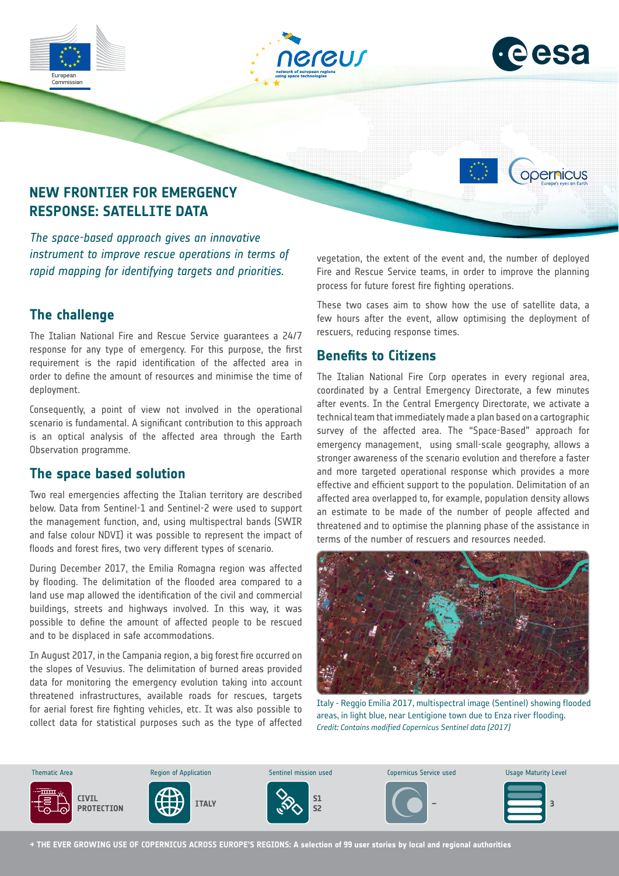





opernicus

# **NEW FRONTIER FOR EMERGENCY RESPONSE: SATELLITE DATA**

*The space-based approach gives an innovative instrument to improve rescue operations in terms of rapid mapping for identifying targets and priorities.*

#### **The challenge**

The Italian National Fire and Rescue Service guarantees a 24/7 response for any type of emergency. For this purpose, the first requirement is the rapid identification of the affected area in order to define the amount of resources and minimise the time of deployment.

Consequently, a point of view not involved in the operational scenario is fundamental. A significant contribution to this approach is an optical analysis of the affected area through the Earth Observation programme.

## **The space based solution**

Two real emergencies affecting the Italian territory are described below. Data from Sentinel-1 and Sentinel-2 were used to support the management function, and, using multispectral bands (SWIR and false colour NDVI) it was possible to represent the impact of floods and forest fires, two very different types of scenario.

During December 2017, the Emilia Romagna region was affected by flooding. The delimitation of the flooded area compared to a land use map allowed the identification of the civil and commercial buildings, streets and highways involved. In this way, it was possible to define the amount of affected people to be rescued and to be displaced in safe accommodations.

In August 2017, in the Campania region, a big forest fire occurred on the slopes of Vesuvius. The delimitation of burned areas provided data for monitoring the emergency evolution taking into account threatened infrastructures, available roads for rescues, targets for aerial forest fire fighting vehicles, etc. It was also possible to collect data for statistical purposes such as the type of affected vegetation, the extent of the event and, the number of deployed Fire and Rescue Service teams, in order to improve the planning process for future forest fire fighting operations.

These two cases aim to show how the use of satellite data, a few hours after the event, allow optimising the deployment of rescuers, reducing response times.

#### **Benefits to Citizens**

The Italian National Fire Corp operates in every regional area, coordinated by a Central Emergency Directorate, a few minutes after events. In the Central Emergency Directorate, we activate a technical team that immediately made a plan based on a cartographic survey of the affected area. The "Space-Based" approach for emergency management, using small-scale geography, allows a stronger awareness of the scenario evolution and therefore a faster and more targeted operational response which provides a more effective and efficient support to the population. Delimitation of an affected area overlapped to, for example, population density allows an estimate to be made of the number of people affected and threatened and to optimise the planning phase of the assistance in terms of the number of rescuers and resources needed.



Italy - Reggio Emilia 2017, multispectral image (Sentinel) showing flooded areas, in light blue, near Lentigione town due to Enza river flooding. *Credit: Contains modified Copernicus Sentinel data [2017]*



**→ THE EVER GROWING USE OF COPERNICUS ACROSS EUROPE'S REGIONS: A selection of 99 user stories by local and regional authorities**